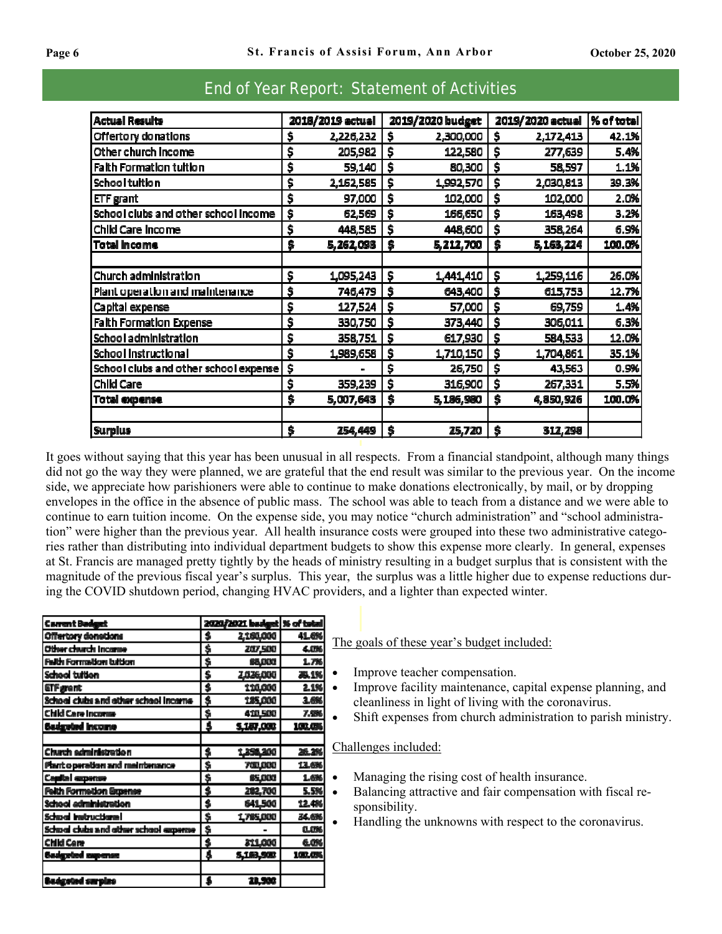| <b>Actual Results</b>                 | 2018/2019 actual |           | 2019/2020 budget |           | 2019/2020 actual |             | % of total |
|---------------------------------------|------------------|-----------|------------------|-----------|------------------|-------------|------------|
| Offertory donations                   | \$               | 2,226,232 | \$               | 2,300,000 | \$               | 2,172,413   | 42.1%      |
| Other church Income                   | \$               | 205,982   | \$               | 122,580   | \$               | 277,639     | 5.4%       |
| Faith Formation tuition               | \$               | 59,140    | \$               | 80,300    | \$               | 58,597      | 1.1%       |
| School tultion                        | \$               | 2,162,585 | \$               | 1,992,570 | \$               | 2,030,813   | 39.3%      |
| ETF grant                             | \$               | 97,000    | \$               | 102,000   | \$               | 102,000     | 2.0%       |
| School clubs and other school income  | \$               | 62,569    | \$               | 166,650   | \$               | 163,498     | 3.2%       |
| Child Care Income                     | \$               | 448,585   | \$               | 448,600   | \$               | 358,264     | 6.9%       |
| <b>Total income</b>                   | \$               | 5,262,093 | \$               | 5,212,700 | \$               | 5, 163, 224 | 100.0%     |
|                                       |                  |           |                  |           |                  |             |            |
| Church administration                 | \$               | 1,095,243 | S.               | 1,441,410 | Ŝ                | 1,259,116   | 26.0%      |
| Plant operation and maintenance       | \$               | 746,479   | -S               | 643,400   | \$               | 615,753     | 12.7%      |
| Capital expense                       | \$               | 127,524   | \$               | 57,000    | S                | 69,759      | 1.4%       |
| <b>Faith Formation Expense</b>        | \$               | 330,750   | \$               | 373,440   | Ś                | 306,011     | 6.3%       |
| School administration                 | \$               | 358,751   | \$               | 617,930   | S                | 584,533     | 12.0%      |
| School Instructional                  | \$               | 1,989,658 | \$               | 1,710,150 | \$               | 1,704,861   | 35.1%      |
| School clubs and other school expense | \$               |           | \$               | 26,750    | \$               | 43,563      | 0.9%       |
| <b>Child Care</b>                     | \$               | 359,239   | \$               | 316,900   | \$               | 267,331     | 5.5%       |
| <b>Total expense</b>                  | \$               | 5,007,643 | \$               | 5,186,980 | \$               | 4,850,926   | 100.0%     |
| <b>Surplus</b>                        | \$               | 254,449   | \$               | 25,720    | \$               | 312,298     |            |

## End of Year Report: Statement of Activities

It goes without saying that this year has been unusual in all respects. From a financial standpoint, although many things did not go the way they were planned, we are grateful that the end result was similar to the previous year. On the income side, we appreciate how parishioners were able to continue to make donations electronically, by mail, or by dropping envelopes in the office in the absence of public mass. The school was able to teach from a distance and we were able to continue to earn tuition income. On the expense side, you may notice "church administration" and "school administration" were higher than the previous year. All health insurance costs were grouped into these two administrative categories rather than distributing into individual department budgets to show this expense more clearly. In general, expenses at St. Francis are managed pretty tightly by the heads of ministry resulting in a budget surplus that is consistent with the magnitude of the previous fiscal year's surplus. This year, the surplus was a little higher due to expense reductions during the COVID shutdown period, changing HVAC providers, and a lighter than expected winter.

| <b>Carrent Badget</b>                  |             | 2020/2021 badget   % of total |        |
|----------------------------------------|-------------|-------------------------------|--------|
| Offertory densitions                   | \$          | 2,180,000                     | 41.6%  |
| Other church Income                    | \$          | 207,500                       | 4.0%   |
| <b>Falth Formation tuition</b>         | \$          | 88,000                        | 1.7%   |
| School tuition                         | \$          | 1036,000                      | æ. 1%  |
| <b>ETF</b> grent                       | \$          | 110,000                       | 2.1%   |
| School clubs and other school incorne- | \$          | 185,000                       | 1.6%   |
| Child Care Income-                     | \$          | 410,500                       | 7.9%   |
| <b>Sudgeted Income</b>                 | \$          | 5,187,000                     | 191.01 |
|                                        |             |                               |        |
| Church administration                  | \$          | 1,356,300                     | 26.2%  |
| Plant o peration and maintenance       | \$          | 700,000                       | 13.6%  |
| <b>Capital expense</b>                 | \$          | 85,000                        | 1.6%   |
| <b>Felth Formetion Expense</b>         | $\clubsuit$ | 202,700                       | 5.5%   |
| School edministration                  | s           | 641,500                       | 12.4%  |
| School Instructional                   | \$          | 1,785,000                     | 34.GK  |
| School clubs and other school expense  | \$          |                               | 0.0%   |
| Child Cere                             | s           | 311,000                       | 6.0%   |
| <b>Badgeted supense</b>                | \$          | 5,183,500                     | 102.0% |
|                                        |             |                               |        |
| esierus beteaste                       |             | 28.900                        |        |

The goals of these year's budget included:

- Improve teacher compensation.
- Improve facility maintenance, capital expense planning, and cleanliness in light of living with the coronavirus.
- Shift expenses from church administration to parish ministry.

## Challenges included:

- Managing the rising cost of health insurance.
- Balancing attractive and fair compensation with fiscal responsibility.
- Handling the unknowns with respect to the coronavirus.